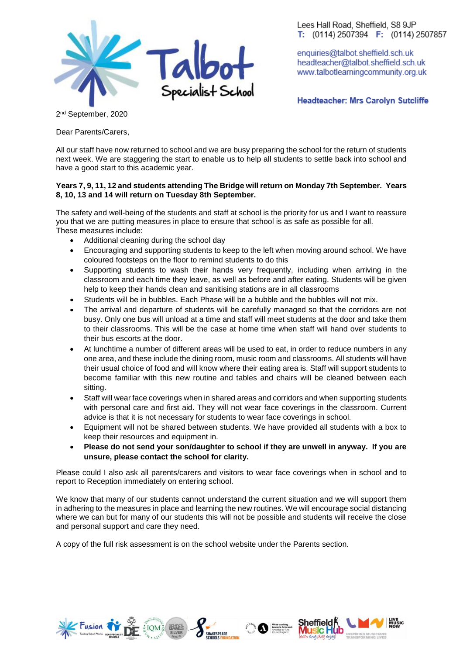

Lees Hall Road, Sheffield, S8 9JP T:  $(0114)$  2507394 F:  $(0114)$  2507857

enquiries@talbot.sheffield.sch.uk headteacher@talbot.sheffield.sch.uk www.talbotlearningcommunity.org.uk

**Headteacher: Mrs Carolyn Sutcliffe** 

2<sup>nd</sup> September, 2020

Dear Parents/Carers,

All our staff have now returned to school and we are busy preparing the school for the return of students next week. We are staggering the start to enable us to help all students to settle back into school and have a good start to this academic year.

## **Years 7, 9, 11, 12 and students attending The Bridge will return on Monday 7th September. Years 8, 10, 13 and 14 will return on Tuesday 8th September.**

The safety and well-being of the students and staff at school is the priority for us and I want to reassure you that we are putting measures in place to ensure that school is as safe as possible for all. These measures include:

- Additional cleaning during the school day
- Encouraging and supporting students to keep to the left when moving around school. We have coloured footsteps on the floor to remind students to do this
- Supporting students to wash their hands very frequently, including when arriving in the classroom and each time they leave, as well as before and after eating. Students will be given help to keep their hands clean and sanitising stations are in all classrooms
- Students will be in bubbles. Each Phase will be a bubble and the bubbles will not mix.
- The arrival and departure of students will be carefully managed so that the corridors are not busy. Only one bus will unload at a time and staff will meet students at the door and take them to their classrooms. This will be the case at home time when staff will hand over students to their bus escorts at the door.
- At lunchtime a number of different areas will be used to eat, in order to reduce numbers in any one area, and these include the dining room, music room and classrooms. All students will have their usual choice of food and will know where their eating area is. Staff will support students to become familiar with this new routine and tables and chairs will be cleaned between each sitting.
- Staff will wear face coverings when in shared areas and corridors and when supporting students with personal care and first aid. They will not wear face coverings in the classroom. Current advice is that it is not necessary for students to wear face coverings in school.
- Equipment will not be shared between students. We have provided all students with a box to keep their resources and equipment in.
- **Please do not send your son/daughter to school if they are unwell in anyway. If you are unsure, please contact the school for clarity.**

Please could I also ask all parents/carers and visitors to wear face coverings when in school and to report to Reception immediately on entering school.

We know that many of our students cannot understand the current situation and we will support them in adhering to the measures in place and learning the new routines. We will encourage social distancing where we can but for many of our students this will not be possible and students will receive the close and personal support and care they need.

A copy of the full risk assessment is on the school website under the Parents section.